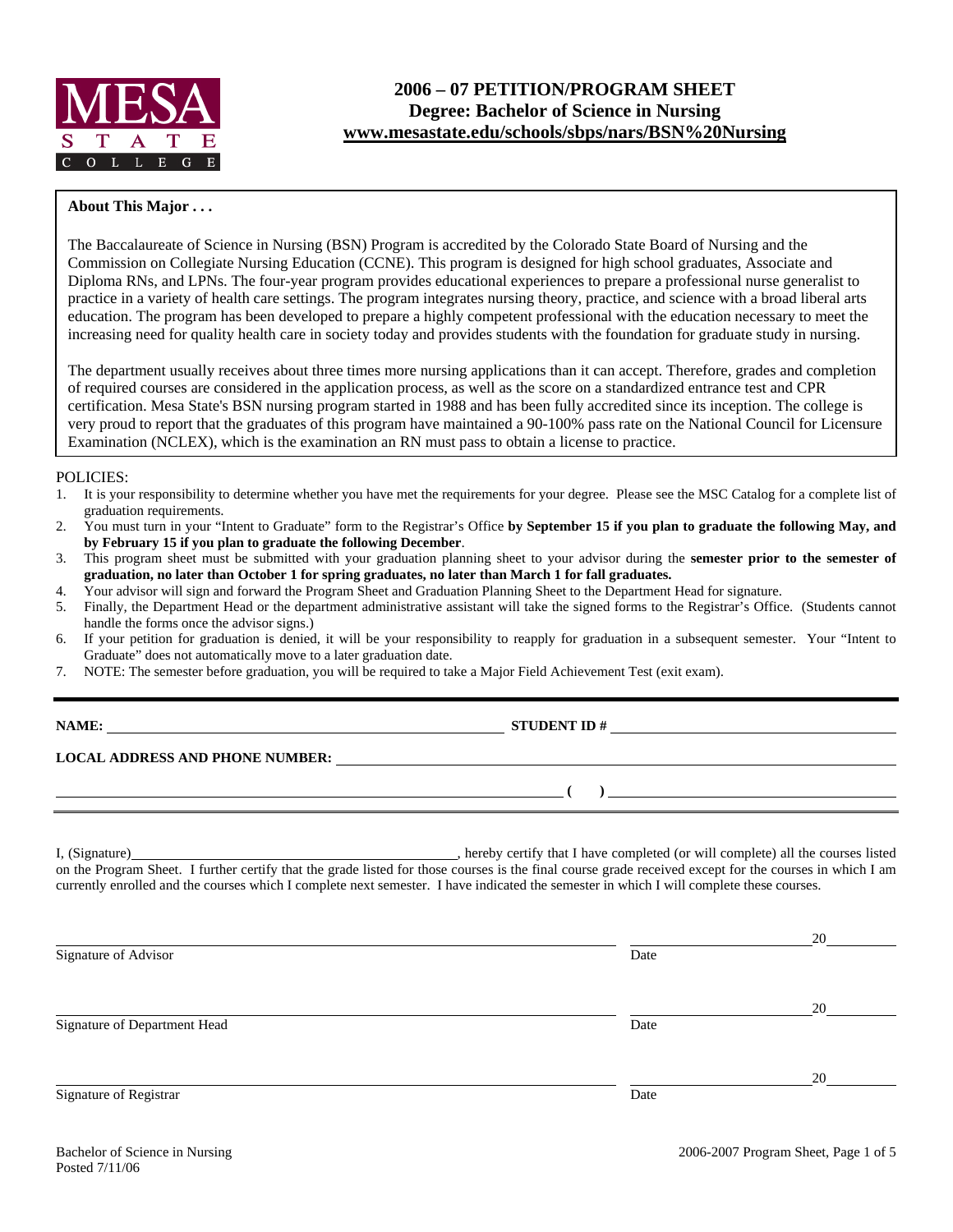

# **2006 – 07 PETITION/PROGRAM SHEET Degree: Bachelor of Science in Nursing www.mesastate.edu/schools/sbps/nars/BSN%20Nursing**

## **About This Major . . .**

The Baccalaureate of Science in Nursing (BSN) Program is accredited by the Colorado State Board of Nursing and the Commission on Collegiate Nursing Education (CCNE). This program is designed for high school graduates, Associate and Diploma RNs, and LPNs. The four-year program provides educational experiences to prepare a professional nurse generalist to practice in a variety of health care settings. The program integrates nursing theory, practice, and science with a broad liberal arts education. The program has been developed to prepare a highly competent professional with the education necessary to meet the increasing need for quality health care in society today and provides students with the foundation for graduate study in nursing.

The department usually receives about three times more nursing applications than it can accept. Therefore, grades and completion of required courses are considered in the application process, as well as the score on a standardized entrance test and CPR certification. Mesa State's BSN nursing program started in 1988 and has been fully accredited since its inception. The college is very proud to report that the graduates of this program have maintained a 90-100% pass rate on the National Council for Licensure Examination (NCLEX), which is the examination an RN must pass to obtain a license to practice.

## POLICIES:

- 1. It is your responsibility to determine whether you have met the requirements for your degree. Please see the MSC Catalog for a complete list of graduation requirements.
- 2. You must turn in your "Intent to Graduate" form to the Registrar's Office **by September 15 if you plan to graduate the following May, and by February 15 if you plan to graduate the following December**.
- 3. This program sheet must be submitted with your graduation planning sheet to your advisor during the **semester prior to the semester of graduation, no later than October 1 for spring graduates, no later than March 1 for fall graduates.**
- 4. Your advisor will sign and forward the Program Sheet and Graduation Planning Sheet to the Department Head for signature.
- 5. Finally, the Department Head or the department administrative assistant will take the signed forms to the Registrar's Office. (Students cannot handle the forms once the advisor signs.)
- 6. If your petition for graduation is denied, it will be your responsibility to reapply for graduation in a subsequent semester. Your "Intent to Graduate" does not automatically move to a later graduation date.
- 7. NOTE: The semester before graduation, you will be required to take a Major Field Achievement Test (exit exam).

# **NAMES IN STUDENT ID #**

## **LOCAL ADDRESS AND PHONE NUMBER:**

I, (Signature) , hereby certify that I have completed (or will complete) all the courses listed on the Program Sheet. I further certify that the grade listed for those courses is the final course grade received except for the courses in which I am currently enrolled and the courses which I complete next semester. I have indicated the semester in which I will complete these courses.

| 20   |
|------|
| Date |
|      |
| 20   |
| Date |
| 20   |
| Date |
|      |

 **( )**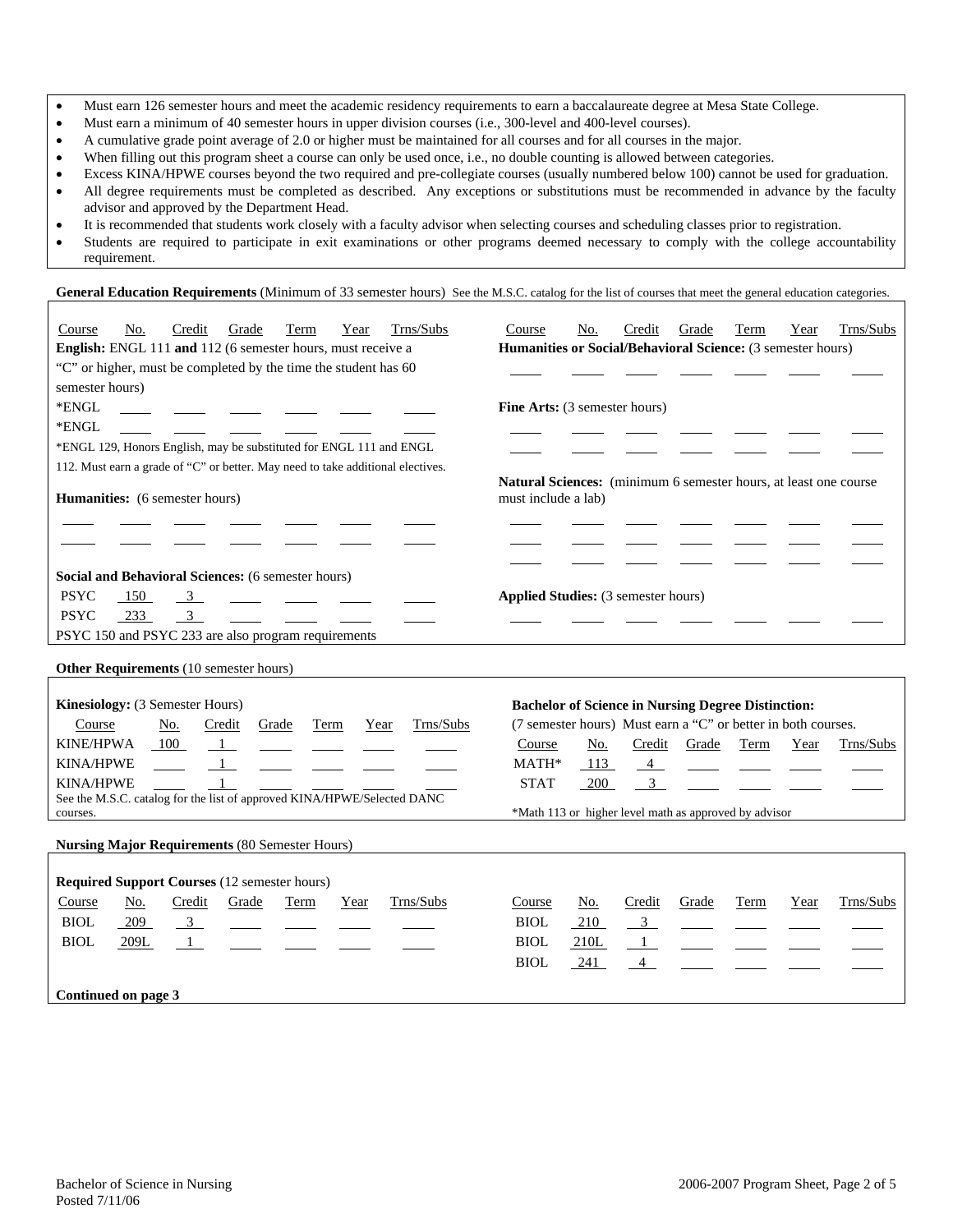- Must earn 126 semester hours and meet the academic residency requirements to earn a baccalaureate degree at Mesa State College.
- Must earn a minimum of 40 semester hours in upper division courses (i.e., 300-level and 400-level courses).
- A cumulative grade point average of 2.0 or higher must be maintained for all courses and for all courses in the major.
- When filling out this program sheet a course can only be used once, i.e., no double counting is allowed between categories.
- Excess KINA/HPWE courses beyond the two required and pre-collegiate courses (usually numbered below 100) cannot be used for graduation. • All degree requirements must be completed as described. Any exceptions or substitutions must be recommended in advance by the faculty advisor and approved by the Department Head.
- It is recommended that students work closely with a faculty advisor when selecting courses and scheduling classes prior to registration.
- Students are required to participate in exit examinations or other programs deemed necessary to comply with the college accountability requirement.

General Education Requirements (Minimum of 33 semester hours) See the M.S.C. catalog for the list of courses that meet the general education categories.

| Trns/Subs<br>Credit<br>Course<br>No.<br>Grade<br>Term<br>Year                   | Trns/Subs<br>Credit<br>Term<br>Course<br>No.<br>Grade<br>Year                                   |
|---------------------------------------------------------------------------------|-------------------------------------------------------------------------------------------------|
| English: ENGL 111 and 112 (6 semester hours, must receive a                     | Humanities or Social/Behavioral Science: (3 semester hours)                                     |
| "C" or higher, must be completed by the time the student has 60                 |                                                                                                 |
| semester hours)                                                                 |                                                                                                 |
| *ENGL                                                                           | Fine Arts: (3 semester hours)                                                                   |
| *ENGL                                                                           |                                                                                                 |
| *ENGL 129, Honors English, may be substituted for ENGL 111 and ENGL             |                                                                                                 |
| 112. Must earn a grade of "C" or better. May need to take additional electives. |                                                                                                 |
| Humanities: (6 semester hours)                                                  | Natural Sciences: (minimum 6 semester hours, at least one course<br>must include a lab)         |
|                                                                                 |                                                                                                 |
|                                                                                 |                                                                                                 |
|                                                                                 |                                                                                                 |
| Social and Behavioral Sciences: (6 semester hours)                              |                                                                                                 |
| <b>PSYC</b><br>150<br>$\overline{3}$                                            | Applied Studies: (3 semester hours)                                                             |
| <b>PSYC</b><br>$\overline{3}$<br>233                                            |                                                                                                 |
| PSYC 150 and PSYC 233 are also program requirements                             |                                                                                                 |
|                                                                                 |                                                                                                 |
| Other Requirements (10 semester hours)                                          |                                                                                                 |
|                                                                                 |                                                                                                 |
| Kinesiology: (3 Semester Hours)                                                 | <b>Bachelor of Science in Nursing Degree Distinction:</b>                                       |
| Trns/Subs<br>Course<br>No.<br>Credit<br><b>Term</b><br>Grade<br>Year            | (7 semester hours) Must earn a "C" or better in both courses.                                   |
| <b>KINE/HPWA</b><br>100<br>$\mathbf{1}$<br><b>KINA/HPWE</b><br>$\overline{1}$   | Course<br>Credit<br>Grade<br>Term<br>Year<br>Trns/Subs<br>No.<br>MATH*<br>113<br>$\overline{4}$ |
| <b>KINA/HPWE</b><br>$\mathbf{1}$                                                | <b>STAT</b><br>$\overline{\mathbf{3}}$<br>200                                                   |
| See the M.S.C. catalog for the list of approved KINA/HPWE/Selected DANC         |                                                                                                 |
| courses.                                                                        | *Math 113 or higher level math as approved by advisor                                           |
|                                                                                 |                                                                                                 |
| <b>Nursing Major Requirements (80 Semester Hours)</b>                           |                                                                                                 |
| <b>Required Support Courses (12 semester hours)</b>                             |                                                                                                 |
| Credit<br>Trns/Subs<br>Course<br>No.<br>Grade<br><b>Term</b><br>Year            | Trns/Subs<br>Credit<br>Course<br>No.<br>Grade<br>Term<br>Year                                   |
| BIOL<br>209<br>$\overline{3}$                                                   | <b>BIOL</b><br>$\overline{3}$<br>210                                                            |
| $\sim$ 100 $\mu$<br><b>BIOL</b><br>209L<br>$\overline{1}$                       | <b>BIOL</b><br>210L<br>$\mathbf{1}$                                                             |
|                                                                                 | <b>BIOL</b><br>241<br>$\overline{4}$                                                            |
|                                                                                 |                                                                                                 |
| Continued on page 3                                                             |                                                                                                 |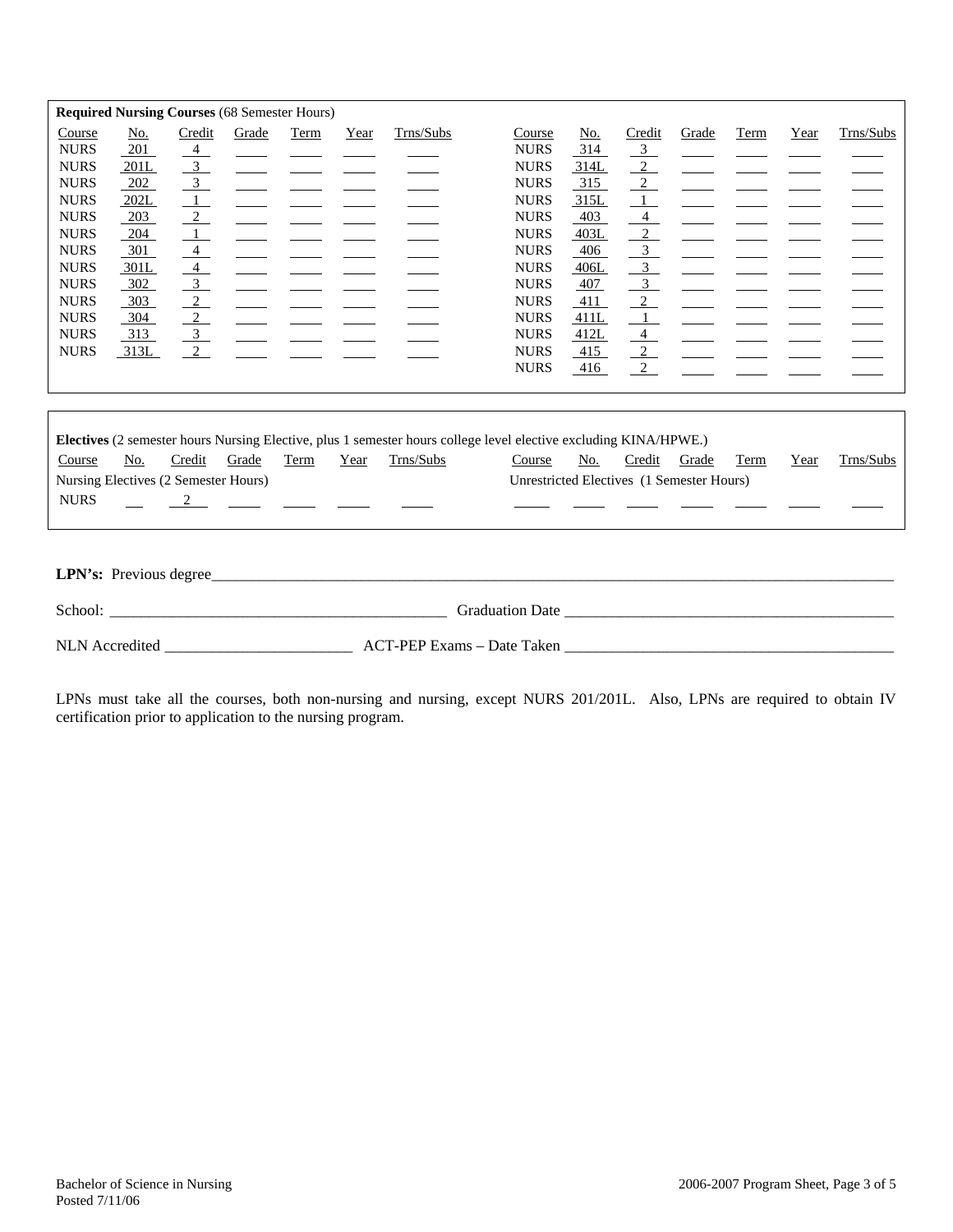|                                                                                                                                                                                                           |                                                                                                    |                                                                                                 | <b>Required Nursing Courses (68 Semester Hours)</b> |      |      |                                                                                                                                                                                                                                |                                                                                                                                                                                                                                    |                                                                                                             |                                                                                                                                                                                                                                            |       |      |      |           |
|-----------------------------------------------------------------------------------------------------------------------------------------------------------------------------------------------------------|----------------------------------------------------------------------------------------------------|-------------------------------------------------------------------------------------------------|-----------------------------------------------------|------|------|--------------------------------------------------------------------------------------------------------------------------------------------------------------------------------------------------------------------------------|------------------------------------------------------------------------------------------------------------------------------------------------------------------------------------------------------------------------------------|-------------------------------------------------------------------------------------------------------------|--------------------------------------------------------------------------------------------------------------------------------------------------------------------------------------------------------------------------------------------|-------|------|------|-----------|
| Course<br><b>NURS</b><br><b>NURS</b><br><b>NURS</b><br><b>NURS</b><br><b>NURS</b><br><b>NURS</b><br><b>NURS</b><br><b>NURS</b><br><b>NURS</b><br><b>NURS</b><br><b>NURS</b><br><b>NURS</b><br><b>NURS</b> | No.<br>201<br>201L<br>202<br>202L<br>203<br>204<br>301<br>301L<br>302<br>303<br>304<br>313<br>313L | Credit<br>$\frac{4}{ }$<br>$\overline{3}$<br>$\overline{3}$<br>$\overline{1}$<br>$\overline{2}$ | Grade                                               | Term | Year | Trns/Subs                                                                                                                                                                                                                      | Course<br><b>NURS</b><br><b>NURS</b><br><b>NURS</b><br><b>NURS</b><br><b>NURS</b><br><b>NURS</b><br><b>NURS</b><br><b>NURS</b><br><b>NURS</b><br><b>NURS</b><br><b>NURS</b><br><b>NURS</b><br><b>NURS</b><br><b>NURS</b>           | No.<br>314<br>314L<br>315<br>315L<br>403<br>403L<br>406<br>406L<br>407<br>411<br>411L<br>412L<br>415<br>416 | Credit<br>$\frac{3}{2}$<br>$\frac{2}{2}$<br>$\frac{2}{2}$<br>$\frac{1}{2}$<br>$\overline{4}$<br>$\frac{2}{2}$<br>$\frac{3}{3}$<br>$\frac{3}{2}$<br>$\frac{2}{\sqrt{2}}$<br>$\overline{1}$<br>$\frac{4}{ }$<br>$\boxed{2}$<br>$\frac{2}{2}$ | Grade | Term | Year | Trns/Subs |
|                                                                                                                                                                                                           |                                                                                                    |                                                                                                 |                                                     |      |      |                                                                                                                                                                                                                                | Electives (2 semester hours Nursing Elective, plus 1 semester hours college level elective excluding KINA/HPWE.)                                                                                                                   |                                                                                                             |                                                                                                                                                                                                                                            |       |      |      |           |
| Course                                                                                                                                                                                                    | No.                                                                                                | Credit                                                                                          | Grade                                               | Term | Year | Trns/Subs                                                                                                                                                                                                                      | Course                                                                                                                                                                                                                             | No.                                                                                                         | Credit                                                                                                                                                                                                                                     | Grade | Term | Year | Trns/Subs |
|                                                                                                                                                                                                           | Nursing Electives (2 Semester Hours)                                                               |                                                                                                 |                                                     |      |      |                                                                                                                                                                                                                                | Unrestricted Electives (1 Semester Hours)                                                                                                                                                                                          |                                                                                                             |                                                                                                                                                                                                                                            |       |      |      |           |
|                                                                                                                                                                                                           |                                                                                                    |                                                                                                 |                                                     |      |      |                                                                                                                                                                                                                                |                                                                                                                                                                                                                                    |                                                                                                             |                                                                                                                                                                                                                                            |       |      |      |           |
| <b>NURS</b>                                                                                                                                                                                               |                                                                                                    |                                                                                                 | $\overline{2}$ $\overline{2}$ $\overline{2}$        |      |      |                                                                                                                                                                                                                                |                                                                                                                                                                                                                                    |                                                                                                             |                                                                                                                                                                                                                                            |       |      |      |           |
|                                                                                                                                                                                                           | LPN's: Previous degree_                                                                            |                                                                                                 |                                                     |      |      | School: The contract of the contract of the contract of the contract of the contract of the contract of the contract of the contract of the contract of the contract of the contract of the contract of the contract of the co | Graduation Date <b>Servers</b> Servers and Servers Servers Servers Servers Servers Servers Servers Servers Servers Servers Servers Servers Servers Servers Servers Servers Servers Servers Servers Servers Servers Servers Servers |                                                                                                             |                                                                                                                                                                                                                                            |       |      |      |           |

NLN Accredited \_\_\_\_\_\_\_\_\_\_\_\_\_\_\_\_\_\_\_\_\_\_\_\_ ACT-PEP Exams – Date Taken \_\_\_\_\_\_\_\_\_\_\_\_\_\_\_\_\_\_\_\_\_\_\_\_\_\_\_\_\_\_\_\_\_\_\_\_\_\_\_\_\_\_

LPNs must take all the courses, both non-nursing and nursing, except NURS 201/201L. Also, LPNs are required to obtain IV certification prior to application to the nursing program.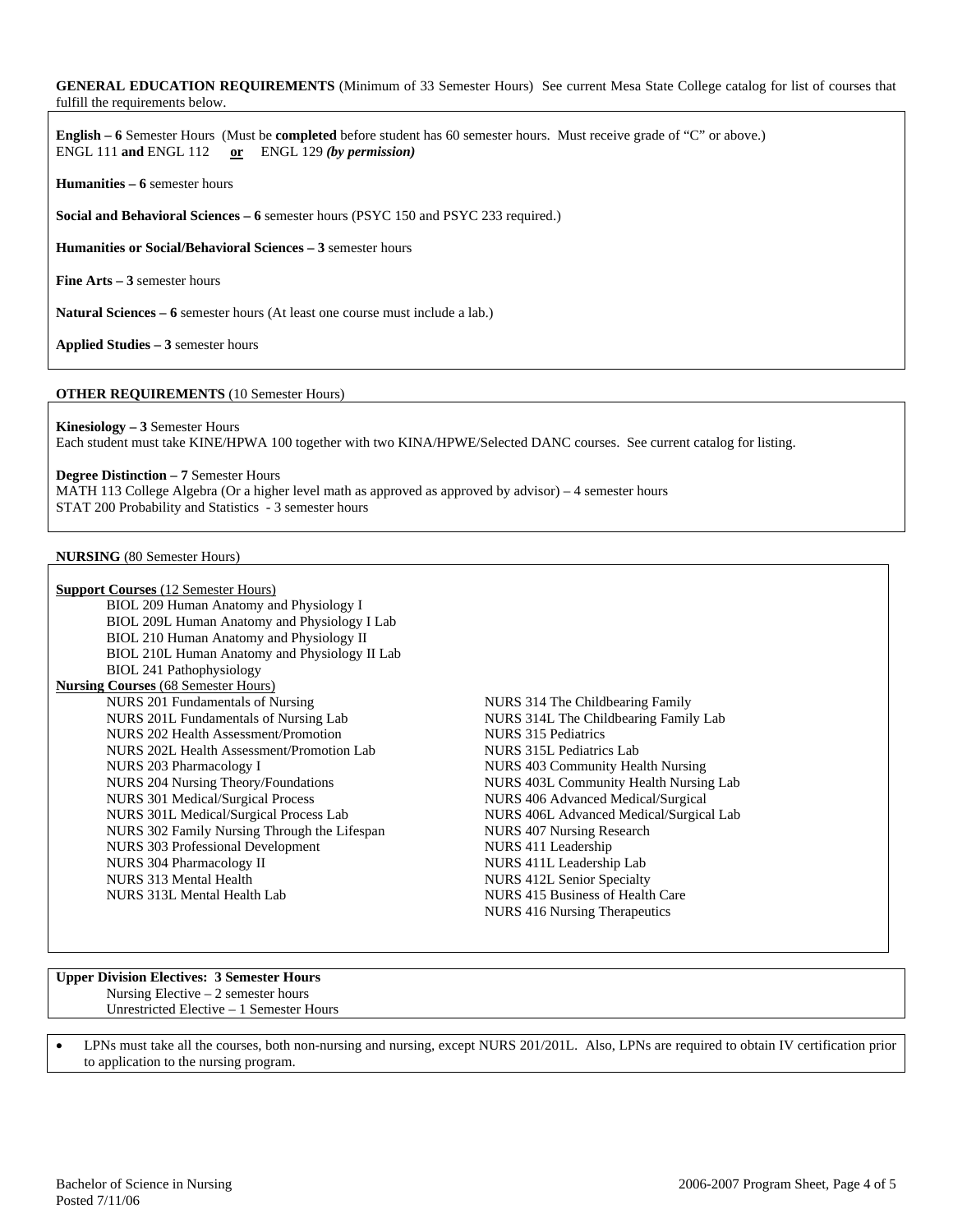### **GENERAL EDUCATION REQUIREMENTS** (Minimum of 33 Semester Hours) See current Mesa State College catalog for list of courses that fulfill the requirements below.

**English – 6** Semester Hours (Must be **completed** before student has 60 semester hours. Must receive grade of "C" or above.) ENGL 111 **and** ENGL 112 **or** ENGL 129 *(by permission)*

**Humanities – 6** semester hours

**Social and Behavioral Sciences – 6** semester hours (PSYC 150 and PSYC 233 required.)

**Humanities or Social/Behavioral Sciences – 3** semester hours

**Fine Arts – 3** semester hours

**Natural Sciences – 6** semester hours (At least one course must include a lab.)

**Applied Studies – 3** semester hours

### **OTHER REQUIREMENTS** (10 Semester Hours)

**Kinesiology – 3** Semester Hours Each student must take KINE/HPWA 100 together with two KINA/HPWE/Selected DANC courses. See current catalog for listing.

#### **Degree Distinction – 7** Semester Hours

MATH 113 College Algebra (Or a higher level math as approved as approved by advisor) – 4 semester hours STAT 200 Probability and Statistics - 3 semester hours

#### **NURSING** (80 Semester Hours)

| <b>Support Courses</b> (12 Semester Hours)    |                                         |
|-----------------------------------------------|-----------------------------------------|
| BIOL 209 Human Anatomy and Physiology I       |                                         |
| BIOL 209L Human Anatomy and Physiology I Lab  |                                         |
| BIOL 210 Human Anatomy and Physiology II      |                                         |
| BIOL 210L Human Anatomy and Physiology II Lab |                                         |
| <b>BIOL 241 Pathophysiology</b>               |                                         |
| <b>Nursing Courses (68 Semester Hours)</b>    |                                         |
| NURS 201 Fundamentals of Nursing              | NURS 314 The Childbearing Family        |
| NURS 201L Fundamentals of Nursing Lab         | NURS 314L The Childbearing Family Lab   |
| NURS 202 Health Assessment/Promotion          | NURS 315 Pediatrics                     |
| NURS 202L Health Assessment/Promotion Lab     | NURS 315L Pediatrics Lab                |
| NURS 203 Pharmacology I                       | NURS 403 Community Health Nursing       |
| NURS 204 Nursing Theory/Foundations           | NURS 403L Community Health Nursing Lab  |
| <b>NURS 301 Medical/Surgical Process</b>      | NURS 406 Advanced Medical/Surgical      |
| NURS 301L Medical/Surgical Process Lab        | NURS 406L Advanced Medical/Surgical Lab |
| NURS 302 Family Nursing Through the Lifespan  | NURS 407 Nursing Research               |
| <b>NURS</b> 303 Professional Development      | NURS 411 Leadership                     |
| NURS 304 Pharmacology II                      | NURS 411L Leadership Lab                |
| NURS 313 Mental Health                        | <b>NURS 412L Senior Specialty</b>       |
| NURS 313L Mental Health Lab                   | NURS 415 Business of Health Care        |
|                                               | NURS 416 Nursing Therapeutics           |
|                                               |                                         |

#### **Upper Division Electives: 3 Semester Hours**  Nursing Elective – 2 semester hours Unrestricted Elective – 1 Semester Hours

• LPNs must take all the courses, both non-nursing and nursing, except NURS 201/201L. Also, LPNs are required to obtain IV certification prior to application to the nursing program.